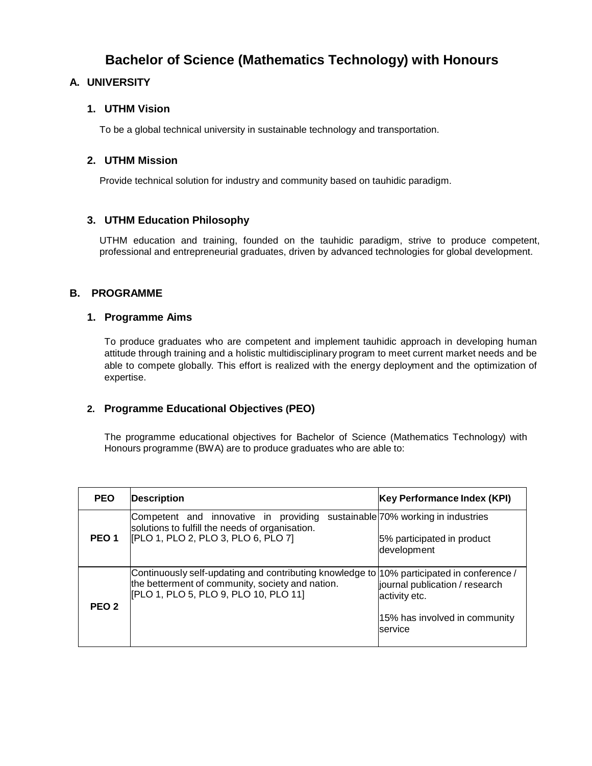# **Bachelor of Science (Mathematics Technology) with Honours**

## **A. UNIVERSITY**

#### **1. UTHM Vision**

To be a global technical university in sustainable technology and transportation.

### **2. UTHM Mission**

Provide technical solution for industry and community based on tauhidic paradigm.

#### **3. UTHM Education Philosophy**

UTHM education and training, founded on the tauhidic paradigm, strive to produce competent, professional and entrepreneurial graduates, driven by advanced technologies for global development.

#### **B. PROGRAMME**

#### **1. Programme Aims**

To produce graduates who are competent and implement tauhidic approach in developing human attitude through training and a holistic multidisciplinary program to meet current market needs and be able to compete globally. This effort is realized with the energy deployment and the optimization of expertise.

### **2. Programme Educational Objectives (PEO)**

The programme educational objectives for Bachelor of Science (Mathematics Technology) with Honours programme (BWA) are to produce graduates who are able to:

| <b>PEO</b>       | <b>Description</b>                                                                                                                                                                     | Key Performance Index (KPI)                                                                 |
|------------------|----------------------------------------------------------------------------------------------------------------------------------------------------------------------------------------|---------------------------------------------------------------------------------------------|
| PEO <sub>1</sub> | Competent and innovative in providing<br>solutions to fulfill the needs of organisation.<br>[PLO 1, PLO 2, PLO 3, PLO 6, PLO 7]                                                        | sustainable 70% working in industries<br>5% participated in product<br>development          |
| PEO <sub>2</sub> | Continuously self-updating and contributing knowledge to 10% participated in conference /<br>the betterment of community, society and nation.<br>[PLO 1, PLO 5, PLO 9, PLO 10, PLO 11] | journal publication / research<br>activity etc.<br>15% has involved in community<br>service |